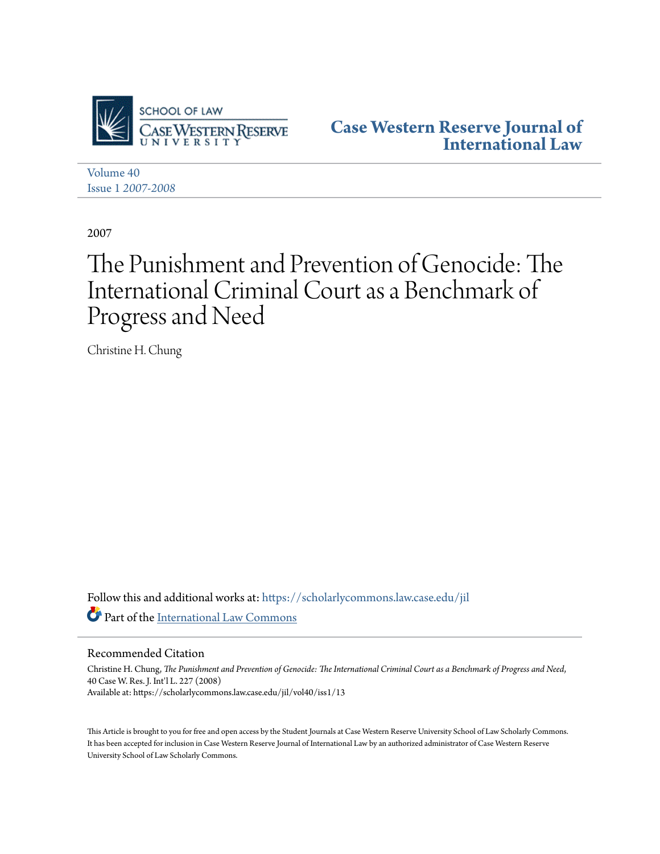

**[Case Western Reserve Journal of](https://scholarlycommons.law.case.edu/jil?utm_source=scholarlycommons.law.case.edu%2Fjil%2Fvol40%2Fiss1%2F13&utm_medium=PDF&utm_campaign=PDFCoverPages) [International Law](https://scholarlycommons.law.case.edu/jil?utm_source=scholarlycommons.law.case.edu%2Fjil%2Fvol40%2Fiss1%2F13&utm_medium=PDF&utm_campaign=PDFCoverPages)**

[Volume 40](https://scholarlycommons.law.case.edu/jil/vol40?utm_source=scholarlycommons.law.case.edu%2Fjil%2Fvol40%2Fiss1%2F13&utm_medium=PDF&utm_campaign=PDFCoverPages) Issue 1 *[2007-2008](https://scholarlycommons.law.case.edu/jil/vol40/iss1?utm_source=scholarlycommons.law.case.edu%2Fjil%2Fvol40%2Fiss1%2F13&utm_medium=PDF&utm_campaign=PDFCoverPages)*

2007

# The Punishment and Prevention of Genocide: The International Criminal Court as a Benchmark of Progress and Need

Christine H. Chung

Follow this and additional works at: [https://scholarlycommons.law.case.edu/jil](https://scholarlycommons.law.case.edu/jil?utm_source=scholarlycommons.law.case.edu%2Fjil%2Fvol40%2Fiss1%2F13&utm_medium=PDF&utm_campaign=PDFCoverPages) Part of the [International Law Commons](http://network.bepress.com/hgg/discipline/609?utm_source=scholarlycommons.law.case.edu%2Fjil%2Fvol40%2Fiss1%2F13&utm_medium=PDF&utm_campaign=PDFCoverPages)

Recommended Citation

Christine H. Chung, *The Punishment and Prevention of Genocide: The International Criminal Court as a Benchmark of Progress and Need*, 40 Case W. Res. J. Int'l L. 227 (2008) Available at: https://scholarlycommons.law.case.edu/jil/vol40/iss1/13

This Article is brought to you for free and open access by the Student Journals at Case Western Reserve University School of Law Scholarly Commons. It has been accepted for inclusion in Case Western Reserve Journal of International Law by an authorized administrator of Case Western Reserve University School of Law Scholarly Commons.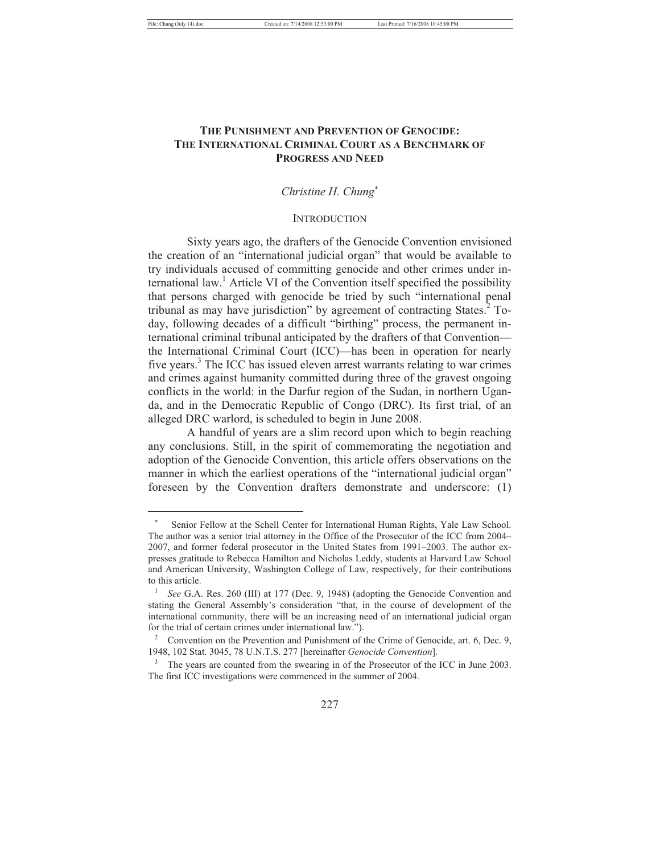## **THE PUNISHMENT AND PREVENTION OF GENOCIDE: THE INTERNATIONAL CRIMINAL COURT AS A BENCHMARK OF PROGRESS AND NEED**

## *Christine H. Chung*-

#### **INTRODUCTION**

Sixty years ago, the drafters of the Genocide Convention envisioned the creation of an "international judicial organ" that would be available to try individuals accused of committing genocide and other crimes under international law.<sup>1</sup> Article VI of the Convention itself specified the possibility that persons charged with genocide be tried by such "international penal tribunal as may have jurisdiction" by agreement of contracting States.<sup>2</sup> Today, following decades of a difficult "birthing" process, the permanent international criminal tribunal anticipated by the drafters of that Convention the International Criminal Court (ICC)—has been in operation for nearly five years.<sup>3</sup> The ICC has issued eleven arrest warrants relating to war crimes and crimes against humanity committed during three of the gravest ongoing conflicts in the world: in the Darfur region of the Sudan, in northern Uganda, and in the Democratic Republic of Congo (DRC). Its first trial, of an alleged DRC warlord, is scheduled to begin in June 2008.

A handful of years are a slim record upon which to begin reaching any conclusions. Still, in the spirit of commemorating the negotiation and adoption of the Genocide Convention, this article offers observations on the manner in which the earliest operations of the "international judicial organ" foreseen by the Convention drafters demonstrate and underscore: (1)

<sup>-</sup> Senior Fellow at the Schell Center for International Human Rights, Yale Law School. The author was a senior trial attorney in the Office of the Prosecutor of the ICC from 2004– 2007, and former federal prosecutor in the United States from 1991–2003. The author expresses gratitude to Rebecca Hamilton and Nicholas Leddy, students at Harvard Law School and American University, Washington College of Law, respectively, for their contributions to this article.

<sup>1</sup>  *See* G.A. Res. 260 (III) at 177 (Dec. 9, 1948) (adopting the Genocide Convention and stating the General Assembly's consideration "that, in the course of development of the international community, there will be an increasing need of an international judicial organ for the trial of certain crimes under international law.").

<sup>2</sup> Convention on the Prevention and Punishment of the Crime of Genocide, art. 6, Dec. 9, 1948, 102 Stat. 3045, 78 U.N.T.S. 277 [hereinafter *Genocide Convention*].

<sup>&</sup>lt;sup>3</sup> The years are counted from the swearing in of the Prosecutor of the ICC in June 2003. The first ICC investigations were commenced in the summer of 2004.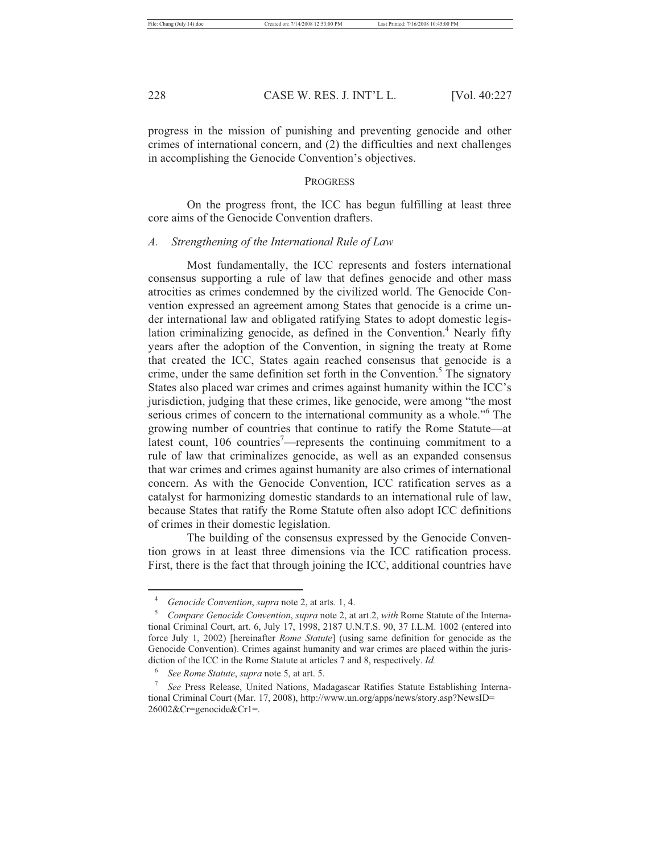progress in the mission of punishing and preventing genocide and other crimes of international concern, and (2) the difficulties and next challenges in accomplishing the Genocide Convention's objectives.

#### PROGRESS

On the progress front, the ICC has begun fulfilling at least three core aims of the Genocide Convention drafters.

#### *A. Strengthening of the International Rule of Law*

Most fundamentally, the ICC represents and fosters international consensus supporting a rule of law that defines genocide and other mass atrocities as crimes condemned by the civilized world. The Genocide Convention expressed an agreement among States that genocide is a crime under international law and obligated ratifying States to adopt domestic legislation criminalizing genocide, as defined in the Convention.<sup>4</sup> Nearly fifty years after the adoption of the Convention, in signing the treaty at Rome that created the ICC, States again reached consensus that genocide is a crime, under the same definition set forth in the Convention.<sup>5</sup> The signatory States also placed war crimes and crimes against humanity within the ICC's jurisdiction, judging that these crimes, like genocide, were among "the most serious crimes of concern to the international community as a whole."<sup>6</sup> The growing number of countries that continue to ratify the Rome Statute—at latest count, 106 countries<sup>7</sup>—represents the continuing commitment to a rule of law that criminalizes genocide, as well as an expanded consensus that war crimes and crimes against humanity are also crimes of international concern. As with the Genocide Convention, ICC ratification serves as a catalyst for harmonizing domestic standards to an international rule of law, because States that ratify the Rome Statute often also adopt ICC definitions of crimes in their domestic legislation.

The building of the consensus expressed by the Genocide Convention grows in at least three dimensions via the ICC ratification process. First, there is the fact that through joining the ICC, additional countries have

<sup>4</sup> <sup>4</sup> Genocide Convention, *supra* note 2, at arts. 1, 4.

*Compare Genocide Convention*, *supra* note 2, at art.2, *with* Rome Statute of the International Criminal Court, art. 6, July 17, 1998, 2187 U.N.T.S. 90, 37 I.L.M. 1002 (entered into force July 1, 2002) [hereinafter *Rome Statute*] (using same definition for genocide as the Genocide Convention). Crimes against humanity and war crimes are placed within the jurisdiction of the ICC in the Rome Statute at articles 7 and 8, respectively. *Id.*

<sup>6</sup> <sup>6</sup> *See Rome Statute, supra* note 5, at art. 5.<br><sup>7</sup> *See Press Release Limited Nations* Ma

*See* Press Release, United Nations, Madagascar Ratifies Statute Establishing International Criminal Court (Mar. 17, 2008), http://www.un.org/apps/news/story.asp?NewsID= 26002&Cr=genocide&Cr1=.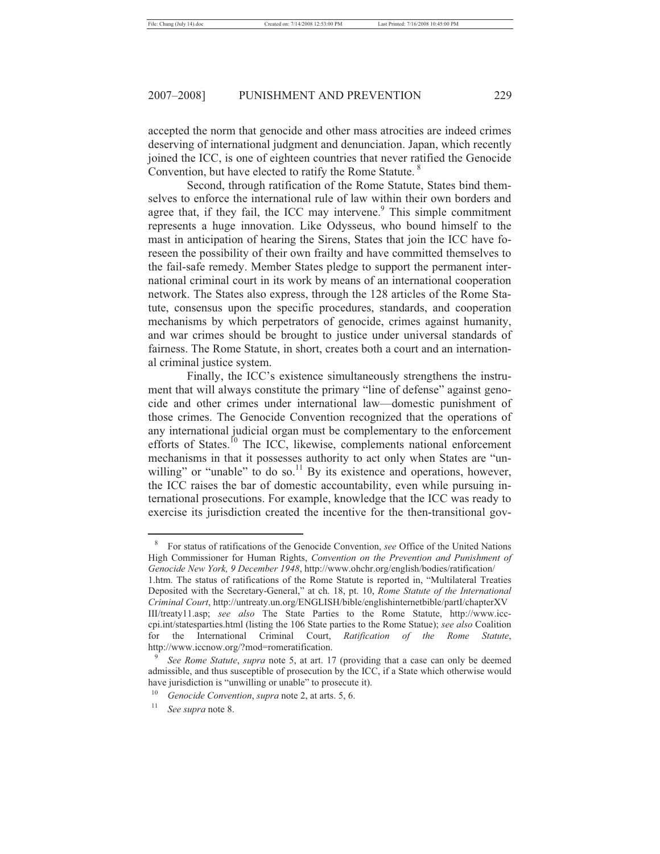accepted the norm that genocide and other mass atrocities are indeed crimes deserving of international judgment and denunciation. Japan, which recently joined the ICC, is one of eighteen countries that never ratified the Genocide Convention, but have elected to ratify the Rome Statute.<sup>8</sup>

Second, through ratification of the Rome Statute, States bind themselves to enforce the international rule of law within their own borders and agree that, if they fail, the ICC may intervene. $9$  This simple commitment represents a huge innovation. Like Odysseus, who bound himself to the mast in anticipation of hearing the Sirens, States that join the ICC have foreseen the possibility of their own frailty and have committed themselves to the fail-safe remedy. Member States pledge to support the permanent international criminal court in its work by means of an international cooperation network. The States also express, through the 128 articles of the Rome Statute, consensus upon the specific procedures, standards, and cooperation mechanisms by which perpetrators of genocide, crimes against humanity, and war crimes should be brought to justice under universal standards of fairness. The Rome Statute, in short, creates both a court and an international criminal justice system.

Finally, the ICC's existence simultaneously strengthens the instrument that will always constitute the primary "line of defense" against genocide and other crimes under international law—domestic punishment of those crimes. The Genocide Convention recognized that the operations of any international judicial organ must be complementary to the enforcement efforts of States.<sup>10</sup> The ICC, likewise, complements national enforcement mechanisms in that it possesses authority to act only when States are "unwilling" or "unable" to do so.<sup>11</sup> By its existence and operations, however, the ICC raises the bar of domestic accountability, even while pursuing international prosecutions. For example, knowledge that the ICC was ready to exercise its jurisdiction created the incentive for the then-transitional gov-

8 For status of ratifications of the Genocide Convention, *see* Office of the United Nations High Commissioner for Human Rights, *Convention on the Prevention and Punishment of Genocide New York, 9 December 1948*, http://www.ohchr.org/english/bodies/ratification/

<sup>1.</sup>htm. The status of ratifications of the Rome Statute is reported in, "Multilateral Treaties Deposited with the Secretary-General," at ch. 18, pt. 10, *Rome Statute of the International Criminal Court*, http://untreaty.un.org/ENGLISH/bible/englishinternetbible/partI/chapterXV III/treaty11.asp; *see also* The State Parties to the Rome Statute, http://www.icccpi.int/statesparties.html (listing the 106 State parties to the Rome Statue); *see also* Coalition for the International Criminal Court, *Ratification of the Rome Statute*, http://www.iccnow.org/?mod=romeratification.

<sup>9</sup>  *See Rome Statute*, *supra* note 5, at art. 17 (providing that a case can only be deemed admissible, and thus susceptible of prosecution by the ICC, if a State which otherwise would have jurisdiction is "unwilling or unable" to prosecute it).<br><sup>10</sup> *Genocide Convention*, *supra* note 2, at arts. 5, 6.<br><sup>11</sup> *See supra* note 8.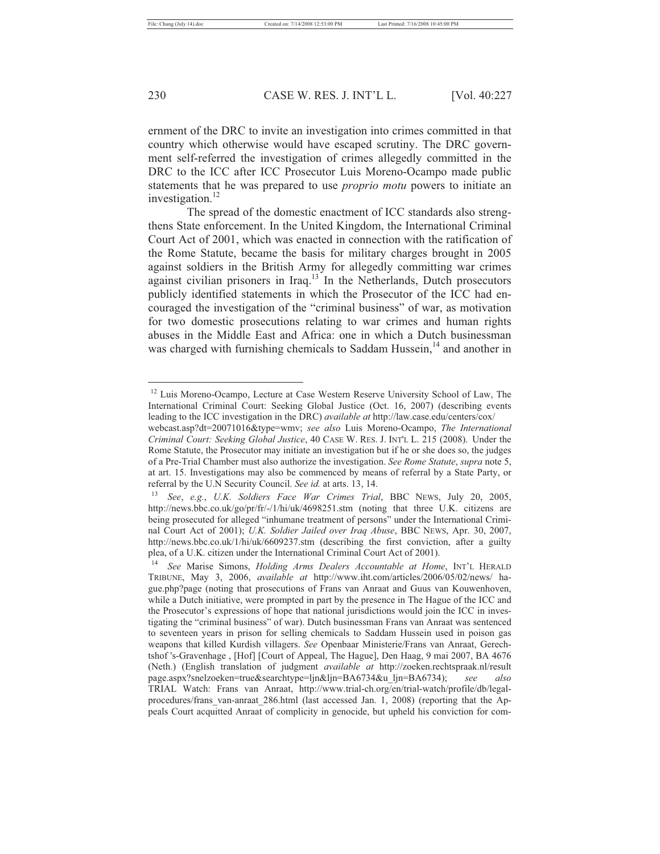ernment of the DRC to invite an investigation into crimes committed in that country which otherwise would have escaped scrutiny. The DRC government self-referred the investigation of crimes allegedly committed in the DRC to the ICC after ICC Prosecutor Luis Moreno-Ocampo made public statements that he was prepared to use *proprio motu* powers to initiate an investigation. $^{12}$ 

The spread of the domestic enactment of ICC standards also strengthens State enforcement. In the United Kingdom, the International Criminal Court Act of 2001, which was enacted in connection with the ratification of the Rome Statute, became the basis for military charges brought in 2005 against soldiers in the British Army for allegedly committing war crimes against civilian prisoners in Iraq.13 In the Netherlands, Dutch prosecutors publicly identified statements in which the Prosecutor of the ICC had encouraged the investigation of the "criminal business" of war, as motivation for two domestic prosecutions relating to war crimes and human rights abuses in the Middle East and Africa: one in which a Dutch businessman was charged with furnishing chemicals to Saddam Hussein, $14$  and another in

<sup>&</sup>lt;sup>12</sup> Luis Moreno-Ocampo, Lecture at Case Western Reserve University School of Law, The International Criminal Court: Seeking Global Justice (Oct. 16, 2007) (describing events leading to the ICC investigation in the DRC) *available at* http://law.case.edu/centers/cox/

webcast.asp?dt=20071016&type=wmv; *see also* Luis Moreno-Ocampo, *The International Criminal Court: Seeking Global Justice*, 40 CASE W. RES. J. INT'L L. 215 (2008). Under the Rome Statute, the Prosecutor may initiate an investigation but if he or she does so, the judges of a Pre-Trial Chamber must also authorize the investigation. *See Rome Statute*, *supra* note 5, at art. 15. Investigations may also be commenced by means of referral by a State Party, or referral by the U.N Security Council. *See id.* at arts. 13, 14. 13 *See*, *e.g.*, *U.K. Soldiers Face War Crimes Trial*, BBC NEWS, July 20, 2005,

http://news.bbc.co.uk/go/pr/fr/-/1/hi/uk/4698251.stm (noting that three U.K. citizens are being prosecuted for alleged "inhumane treatment of persons" under the International Criminal Court Act of 2001); *U.K. Soldier Jailed over Iraq Abuse*, BBC NEWS, Apr. 30, 2007, http://news.bbc.co.uk/1/hi/uk/6609237.stm (describing the first conviction, after a guilty plea, of a U.K. citizen under the International Criminal Court Act of 2001).

<sup>14</sup> *See* Marise Simons, *Holding Arms Dealers Accountable at Home*, INT'L HERALD TRIBUNE, May 3, 2006, *available at* http://www.iht.com/articles/2006/05/02/news/ hague.php?page (noting that prosecutions of Frans van Anraat and Guus van Kouwenhoven, while a Dutch initiative, were prompted in part by the presence in The Hague of the ICC and the Prosecutor's expressions of hope that national jurisdictions would join the ICC in investigating the "criminal business" of war). Dutch businessman Frans van Anraat was sentenced to seventeen years in prison for selling chemicals to Saddam Hussein used in poison gas weapons that killed Kurdish villagers. *See* Openbaar Ministerie/Frans van Anraat, Gerechtshof 's-Gravenhage , [Hof] [Court of Appeal, The Hague], Den Haag, 9 mai 2007, BA 4676 (Neth.) (English translation of judgment *available at* http://zoeken.rechtspraak.nl/result page.aspx?snelzoeken=true&searchtype=ljn&ljn=BA6734&u\_ljn=BA6734); *see also*  TRIAL Watch: Frans van Anraat, http://www.trial-ch.org/en/trial-watch/profile/db/legalprocedures/frans\_van-anraat\_286.html (last accessed Jan. 1, 2008) (reporting that the Appeals Court acquitted Anraat of complicity in genocide, but upheld his conviction for com-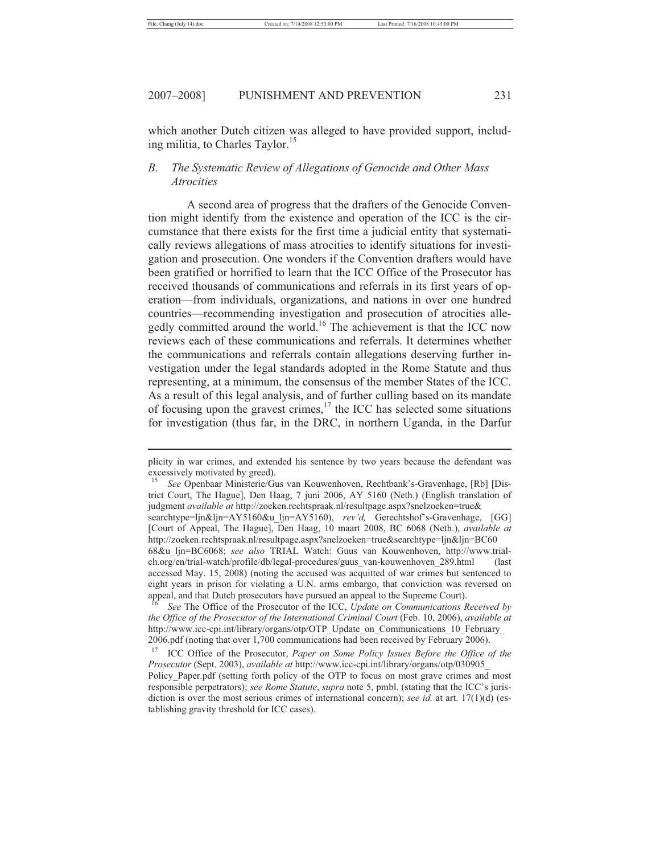which another Dutch citizen was alleged to have provided support, including militia, to Charles Taylor.<sup>15</sup>

## *B. The Systematic Review of Allegations of Genocide and Other Mass Atrocities*

A second area of progress that the drafters of the Genocide Convention might identify from the existence and operation of the ICC is the circumstance that there exists for the first time a judicial entity that systematically reviews allegations of mass atrocities to identify situations for investigation and prosecution. One wonders if the Convention drafters would have been gratified or horrified to learn that the ICC Office of the Prosecutor has received thousands of communications and referrals in its first years of operation—from individuals, organizations, and nations in over one hundred countries—recommending investigation and prosecution of atrocities allegedly committed around the world.16 The achievement is that the ICC now reviews each of these communications and referrals. It determines whether the communications and referrals contain allegations deserving further investigation under the legal standards adopted in the Rome Statute and thus representing, at a minimum, the consensus of the member States of the ICC. As a result of this legal analysis, and of further culling based on its mandate of focusing upon the gravest crimes,17 the ICC has selected some situations for investigation (thus far, in the DRC, in northern Uganda, in the Darfur

plicity in war crimes, and extended his sentence by two years because the defendant was excessively motivated by greed).

<sup>15</sup> *See* Openbaar Ministerie/Gus van Kouwenhoven, Rechtbank's-Gravenhage, [Rb] [District Court, The Hague], Den Haag, 7 juni 2006, AY 5160 (Neth.) (English translation of judgment *available at* http://zoeken.rechtspraak.nl/resultpage.aspx?snelzoeken=true&

searchtype=ljn&ljn=AY5160&u\_ljn=AY5160), *rev'd,* Gerechtshof's-Gravenhage, [GG] [Court of Appeal, The Hague], Den Haag, 10 maart 2008, BC 6068 (Neth.), *available at*  http://zoeken.rechtspraak.nl/resultpage.aspx?snelzoeken=true&searchtype=ljn&ljn=BC60

<sup>68&</sup>amp;u\_ljn=BC6068; *see also* TRIAL Watch: Guus van Kouwenhoven, http://www.trialch.org/en/trial-watch/profile/db/legal-procedures/guus\_van-kouwenhoven\_289.html (last accessed May. 15, 2008) (noting the accused was acquitted of war crimes but sentenced to eight years in prison for violating a U.N. arms embargo, that conviction was reversed on appeal, and that Dutch prosecutors have pursued an appeal to the Supreme Court).

<sup>16</sup> *See* The Office of the Prosecutor of the ICC, *Update on Communications Received by the Office of the Prosecutor of the International Criminal Court* (Feb. 10, 2006), *available at* http://www.icc-cpi.int/library/organs/otp/OTP\_Update\_on\_Communications\_10\_February 2006.pdf (noting that over 1,700 communications had been received by February 2006).

<sup>17</sup> ICC Office of the Prosecutor, *Paper on Some Policy Issues Before the Office of the Prosecutor* (Sept. 2003), *available at* http://www.icc-cpi.int/library/organs/otp/030905\_ Policy\_Paper.pdf (setting forth policy of the OTP to focus on most grave crimes and most responsible perpetrators); *see Rome Statute*, *supra* note 5, pmbl. (stating that the ICC's jurisdiction is over the most serious crimes of international concern); *see id.* at art. 17(1)(d) (establishing gravity threshold for ICC cases).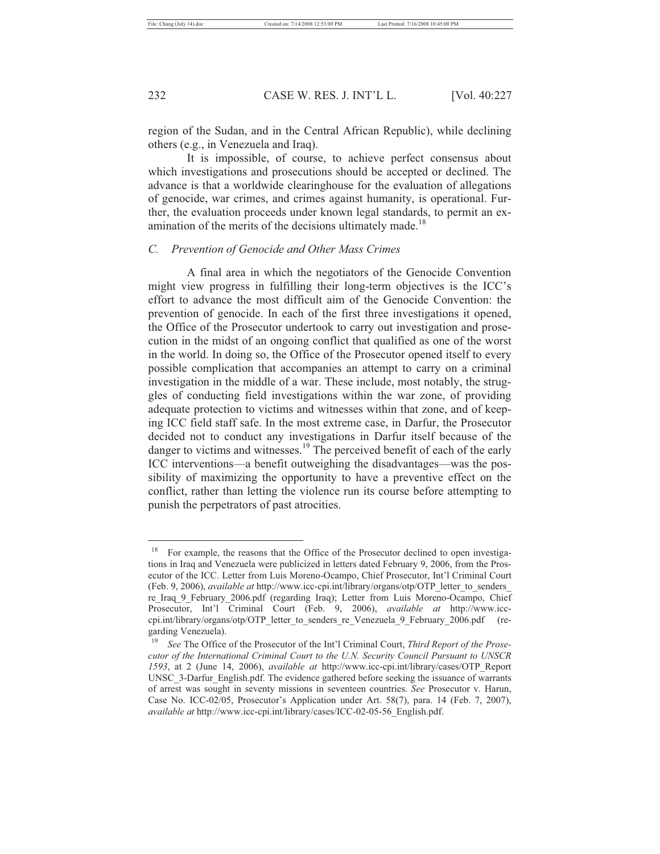region of the Sudan, and in the Central African Republic), while declining others (e.g., in Venezuela and Iraq).

It is impossible, of course, to achieve perfect consensus about which investigations and prosecutions should be accepted or declined. The advance is that a worldwide clearinghouse for the evaluation of allegations of genocide, war crimes, and crimes against humanity, is operational. Further, the evaluation proceeds under known legal standards, to permit an examination of the merits of the decisions ultimately made.<sup>18</sup>

## *C. Prevention of Genocide and Other Mass Crimes*

A final area in which the negotiators of the Genocide Convention might view progress in fulfilling their long-term objectives is the ICC's effort to advance the most difficult aim of the Genocide Convention: the prevention of genocide. In each of the first three investigations it opened, the Office of the Prosecutor undertook to carry out investigation and prosecution in the midst of an ongoing conflict that qualified as one of the worst in the world. In doing so, the Office of the Prosecutor opened itself to every possible complication that accompanies an attempt to carry on a criminal investigation in the middle of a war. These include, most notably, the struggles of conducting field investigations within the war zone, of providing adequate protection to victims and witnesses within that zone, and of keeping ICC field staff safe. In the most extreme case, in Darfur, the Prosecutor decided not to conduct any investigations in Darfur itself because of the danger to victims and witnesses.<sup>19</sup> The perceived benefit of each of the early ICC interventions—a benefit outweighing the disadvantages—was the possibility of maximizing the opportunity to have a preventive effect on the conflict, rather than letting the violence run its course before attempting to punish the perpetrators of past atrocities.

<sup>&</sup>lt;sup>18</sup> For example, the reasons that the Office of the Prosecutor declined to open investigations in Iraq and Venezuela were publicized in letters dated February 9, 2006, from the Prosecutor of the ICC. Letter from Luis Moreno-Ocampo, Chief Prosecutor, Int'l Criminal Court (Feb. 9, 2006), *available at* http://www.icc-cpi.int/library/organs/otp/OTP\_letter\_to\_senders\_ re\_Iraq\_9\_February\_2006.pdf (regarding Iraq); Letter from Luis Moreno-Ocampo, Chief Prosecutor, Int'l Criminal Court (Feb. 9, 2006), *available at* http://www.icccpi.int/library/organs/otp/OTP\_letter\_to\_senders\_re\_Venezuela\_9\_February\_2006.pdf (regarding Venezuela).<br> $^{19}$  Sec. The Office

<sup>19</sup> *See* The Office of the Prosecutor of the Int'l Criminal Court, *Third Report of the Prosecutor of the International Criminal Court to the U.N. Security Council Pursuant to UNSCR 1593*, at 2 (June 14, 2006), *available at* http://www.icc-cpi.int/library/cases/OTP\_Report UNSC<sub>3</sub>-Darfur\_English.pdf. The evidence gathered before seeking the issuance of warrants of arrest was sought in seventy missions in seventeen countries. *See* Prosecutor v. Harun, Case No. ICC-02/05, Prosecutor's Application under Art. 58(7), para. 14 (Feb. 7, 2007), *available at* http://www.icc-cpi.int/library/cases/ICC-02-05-56\_English.pdf.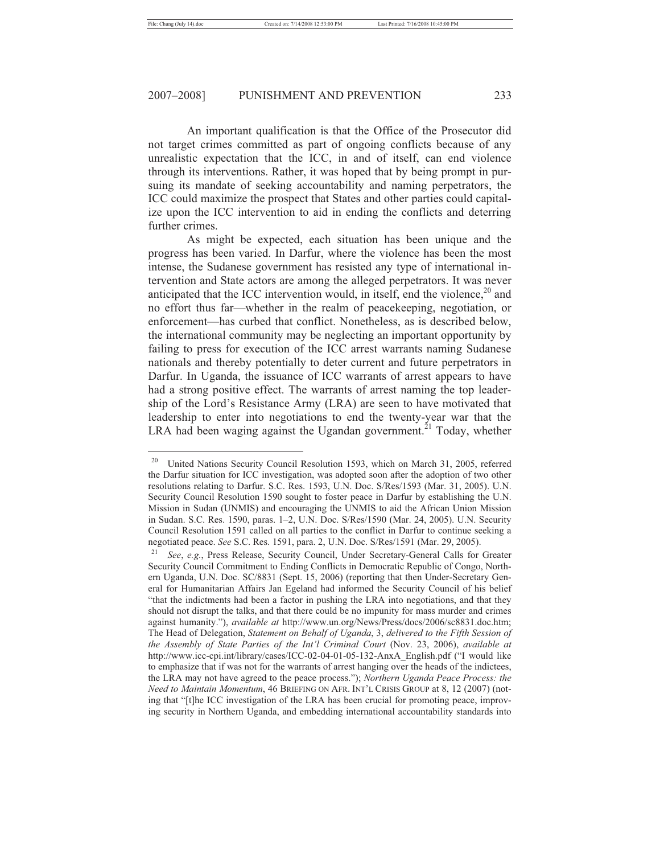An important qualification is that the Office of the Prosecutor did not target crimes committed as part of ongoing conflicts because of any unrealistic expectation that the ICC, in and of itself, can end violence through its interventions. Rather, it was hoped that by being prompt in pursuing its mandate of seeking accountability and naming perpetrators, the ICC could maximize the prospect that States and other parties could capitalize upon the ICC intervention to aid in ending the conflicts and deterring further crimes.

As might be expected, each situation has been unique and the progress has been varied. In Darfur, where the violence has been the most intense, the Sudanese government has resisted any type of international intervention and State actors are among the alleged perpetrators. It was never anticipated that the ICC intervention would, in itself, end the violence,  $2^{\circ}$  and no effort thus far—whether in the realm of peacekeeping, negotiation, or enforcement—has curbed that conflict. Nonetheless, as is described below, the international community may be neglecting an important opportunity by failing to press for execution of the ICC arrest warrants naming Sudanese nationals and thereby potentially to deter current and future perpetrators in Darfur. In Uganda, the issuance of ICC warrants of arrest appears to have had a strong positive effect. The warrants of arrest naming the top leadership of the Lord's Resistance Army (LRA) are seen to have motivated that leadership to enter into negotiations to end the twenty-year war that the LRA had been waging against the Ugandan government.<sup>21</sup> Today, whether

<sup>&</sup>lt;sup>20</sup> United Nations Security Council Resolution 1593, which on March 31, 2005, referred the Darfur situation for ICC investigation, was adopted soon after the adoption of two other resolutions relating to Darfur. S.C. Res. 1593, U.N. Doc. S/Res/1593 (Mar. 31, 2005). U.N. Security Council Resolution 1590 sought to foster peace in Darfur by establishing the U.N. Mission in Sudan (UNMIS) and encouraging the UNMIS to aid the African Union Mission in Sudan. S.C. Res. 1590, paras. 1–2, U.N. Doc. S/Res/1590 (Mar. 24, 2005). U.N. Security Council Resolution 1591 called on all parties to the conflict in Darfur to continue seeking a negotiated peace. *See* S.C. Res. 1591, para. 2, U.N. Doc. S/Res/1591 (Mar. 29, 2005). 21 *See*, *e.g.*, Press Release, Security Council, Under Secretary-General Calls for Greater

Security Council Commitment to Ending Conflicts in Democratic Republic of Congo, Northern Uganda, U.N. Doc. SC/8831 (Sept. 15, 2006) (reporting that then Under-Secretary General for Humanitarian Affairs Jan Egeland had informed the Security Council of his belief "that the indictments had been a factor in pushing the LRA into negotiations, and that they should not disrupt the talks, and that there could be no impunity for mass murder and crimes against humanity."), *available at* http://www.un.org/News/Press/docs/2006/sc8831.doc.htm; The Head of Delegation, *Statement on Behalf of Uganda*, 3, *delivered to the Fifth Session of the Assembly of State Parties of the Int'l Criminal Court* (Nov. 23, 2006), *available at* http://www.icc-cpi.int/library/cases/ICC-02-04-01-05-132-AnxA\_English.pdf ("I would like to emphasize that if was not for the warrants of arrest hanging over the heads of the indictees, the LRA may not have agreed to the peace process."); *Northern Uganda Peace Process: the Need to Maintain Momentum*, 46 BRIEFING ON AFR. INT'L CRISIS GROUP at 8, 12 (2007) (noting that "[t]he ICC investigation of the LRA has been crucial for promoting peace, improving security in Northern Uganda, and embedding international accountability standards into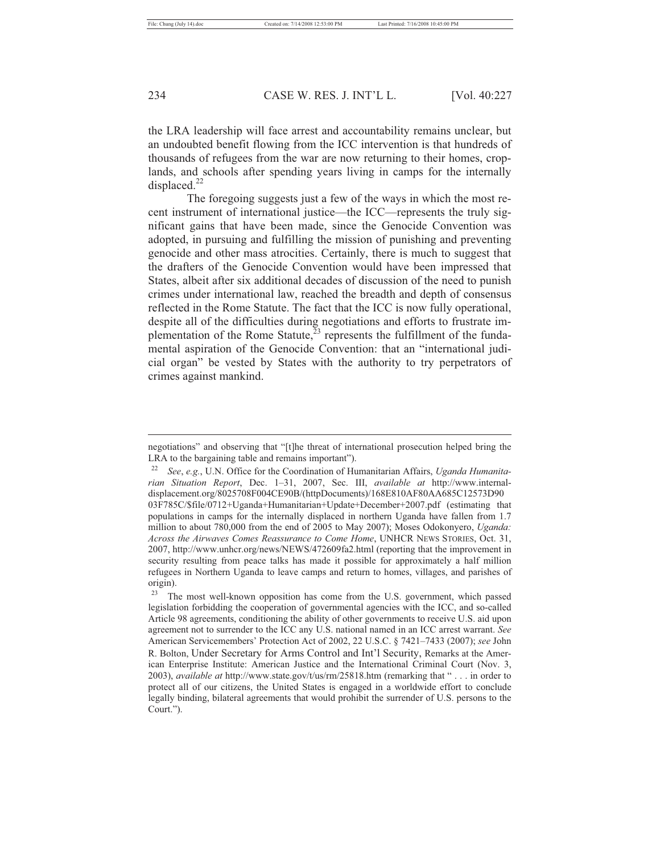the LRA leadership will face arrest and accountability remains unclear, but an undoubted benefit flowing from the ICC intervention is that hundreds of thousands of refugees from the war are now returning to their homes, croplands, and schools after spending years living in camps for the internally displaced. $^{22}$ 

The foregoing suggests just a few of the ways in which the most recent instrument of international justice—the ICC—represents the truly significant gains that have been made, since the Genocide Convention was adopted, in pursuing and fulfilling the mission of punishing and preventing genocide and other mass atrocities. Certainly, there is much to suggest that the drafters of the Genocide Convention would have been impressed that States, albeit after six additional decades of discussion of the need to punish crimes under international law, reached the breadth and depth of consensus reflected in the Rome Statute. The fact that the ICC is now fully operational, despite all of the difficulties during negotiations and efforts to frustrate implementation of the Rome Statute, $^{23}$  represents the fulfillment of the fundamental aspiration of the Genocide Convention: that an "international judicial organ" be vested by States with the authority to try perpetrators of crimes against mankind.

negotiations" and observing that "[t]he threat of international prosecution helped bring the LRA to the bargaining table and remains important").

<sup>22</sup> *See*, *e.g.*, U.N. Office for the Coordination of Humanitarian Affairs, *Uganda Humanitarian Situation Report*, Dec. 1–31, 2007, Sec. III, *available at* http://www.internaldisplacement.org/8025708F004CE90B/(httpDocuments)/168E810AF80AA685C12573D90 03F785C/\$file/0712+Uganda+Humanitarian+Update+December+2007.pdf (estimating that populations in camps for the internally displaced in northern Uganda have fallen from 1.7 million to about 780,000 from the end of 2005 to May 2007); Moses Odokonyero, *Uganda: Across the Airwaves Comes Reassurance to Come Home*, UNHCR NEWS STORIES, Oct. 31, 2007, http://www.unhcr.org/news/NEWS/472609fa2.html (reporting that the improvement in security resulting from peace talks has made it possible for approximately a half million refugees in Northern Uganda to leave camps and return to homes, villages, and parishes of origin).

 $23$  The most well-known opposition has come from the U.S. government, which passed legislation forbidding the cooperation of governmental agencies with the ICC, and so-called Article 98 agreements, conditioning the ability of other governments to receive U.S. aid upon agreement not to surrender to the ICC any U.S. national named in an ICC arrest warrant. *See* American Servicemembers' Protection Act of 2002, 22 U.S.C. § 7421–7433 (2007); *see* John R. Bolton, Under Secretary for Arms Control and Int'l Security, Remarks at the American Enterprise Institute: American Justice and the International Criminal Court (Nov. 3, 2003), *available at* http://www.state.gov/t/us/rm/25818.htm (remarking that " . . . in order to protect all of our citizens, the United States is engaged in a worldwide effort to conclude legally binding, bilateral agreements that would prohibit the surrender of U.S. persons to the Court.").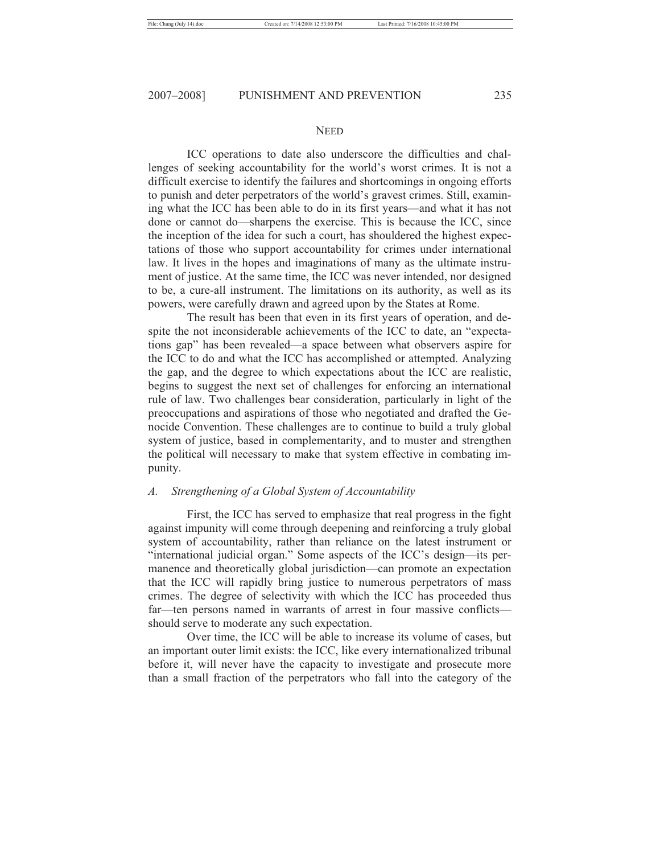#### **NEED**

ICC operations to date also underscore the difficulties and challenges of seeking accountability for the world's worst crimes. It is not a difficult exercise to identify the failures and shortcomings in ongoing efforts to punish and deter perpetrators of the world's gravest crimes. Still, examining what the ICC has been able to do in its first years—and what it has not done or cannot do—sharpens the exercise. This is because the ICC, since the inception of the idea for such a court, has shouldered the highest expectations of those who support accountability for crimes under international law. It lives in the hopes and imaginations of many as the ultimate instrument of justice. At the same time, the ICC was never intended, nor designed to be, a cure-all instrument. The limitations on its authority, as well as its powers, were carefully drawn and agreed upon by the States at Rome.

The result has been that even in its first years of operation, and despite the not inconsiderable achievements of the ICC to date, an "expectations gap" has been revealed—a space between what observers aspire for the ICC to do and what the ICC has accomplished or attempted. Analyzing the gap, and the degree to which expectations about the ICC are realistic, begins to suggest the next set of challenges for enforcing an international rule of law. Two challenges bear consideration, particularly in light of the preoccupations and aspirations of those who negotiated and drafted the Genocide Convention. These challenges are to continue to build a truly global system of justice, based in complementarity, and to muster and strengthen the political will necessary to make that system effective in combating impunity.

#### *A. Strengthening of a Global System of Accountability*

First, the ICC has served to emphasize that real progress in the fight against impunity will come through deepening and reinforcing a truly global system of accountability, rather than reliance on the latest instrument or "international judicial organ." Some aspects of the ICC's design—its permanence and theoretically global jurisdiction—can promote an expectation that the ICC will rapidly bring justice to numerous perpetrators of mass crimes. The degree of selectivity with which the ICC has proceeded thus far—ten persons named in warrants of arrest in four massive conflicts should serve to moderate any such expectation.

Over time, the ICC will be able to increase its volume of cases, but an important outer limit exists: the ICC, like every internationalized tribunal before it, will never have the capacity to investigate and prosecute more than a small fraction of the perpetrators who fall into the category of the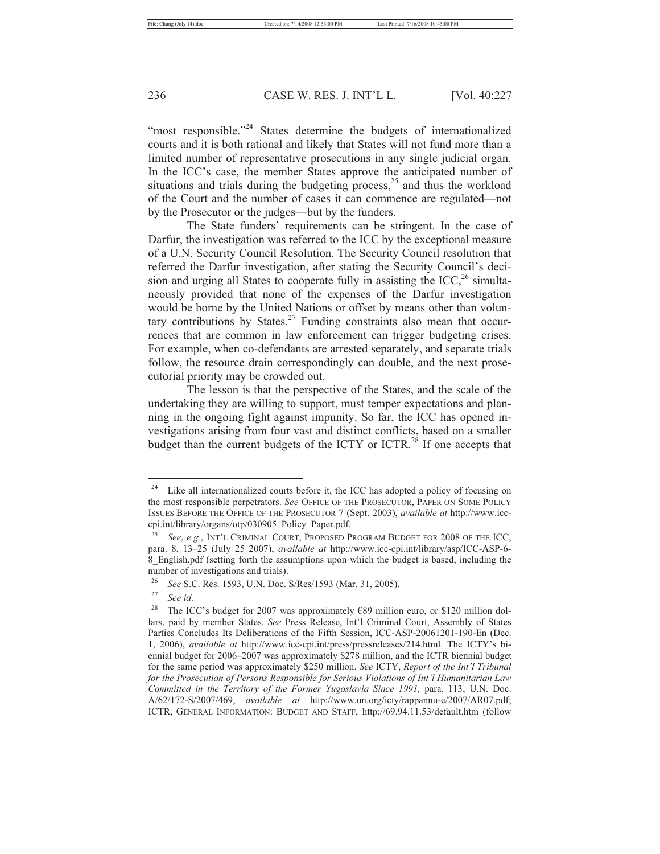"most responsible."<sup>24</sup> States determine the budgets of internationalized courts and it is both rational and likely that States will not fund more than a limited number of representative prosecutions in any single judicial organ. In the ICC's case, the member States approve the anticipated number of situations and trials during the budgeting process, $^{25}$  and thus the workload of the Court and the number of cases it can commence are regulated—not by the Prosecutor or the judges—but by the funders.

The State funders' requirements can be stringent. In the case of Darfur, the investigation was referred to the ICC by the exceptional measure of a U.N. Security Council Resolution. The Security Council resolution that referred the Darfur investigation, after stating the Security Council's decision and urging all States to cooperate fully in assisting the ICC,<sup>26</sup> simultaneously provided that none of the expenses of the Darfur investigation would be borne by the United Nations or offset by means other than voluntary contributions by States.<sup>27</sup> Funding constraints also mean that occurrences that are common in law enforcement can trigger budgeting crises. For example, when co-defendants are arrested separately, and separate trials follow, the resource drain correspondingly can double, and the next prosecutorial priority may be crowded out.

The lesson is that the perspective of the States, and the scale of the undertaking they are willing to support, must temper expectations and planning in the ongoing fight against impunity. So far, the ICC has opened investigations arising from four vast and distinct conflicts, based on a smaller budget than the current budgets of the ICTY or ICTR.<sup>28</sup> If one accepts that

<sup>&</sup>lt;sup>24</sup> Like all internationalized courts before it, the ICC has adopted a policy of focusing on the most responsible perpetrators. *See* OFFICE OF THE PROSECUTOR, PAPER ON SOME POLICY ISSUES BEFORE THE OFFICE OF THE PROSECUTOR 7 (Sept. 2003), *available at* http://www.icccpi.int/library/organs/otp/030905\_Policy\_Paper.pdf.

<sup>25</sup> *See*, *e.g.*, INT'L CRIMINAL COURT, PROPOSED PROGRAM BUDGET FOR 2008 OF THE ICC, para. 8, 13–25 (July 25 2007), *available at* http://www.icc-cpi.int/library/asp/ICC-ASP-6- 8\_English.pdf (setting forth the assumptions upon which the budget is based, including the number of investigations and trials).

<sup>26</sup> *See* S.C. Res. 1593, U.N. Doc. S/Res/1593 (Mar. 31, 2005). 27 *See id*.

<sup>&</sup>lt;sup>28</sup> The ICC's budget for 2007 was approximately  $\epsilon$ 89 million euro, or \$120 million dollars, paid by member States. *See* Press Release, Int'l Criminal Court, Assembly of States Parties Concludes Its Deliberations of the Fifth Session, ICC-ASP-20061201-190-En (Dec. 1, 2006), *available at* http://www.icc-cpi.int/press/pressreleases/214.html. The ICTY's biennial budget for 2006–2007 was approximately \$278 million, and the ICTR biennial budget for the same period was approximately \$250 million. *See* ICTY, *Report of the Int'l Tribunal for the Prosecution of Persons Responsible for Serious Violations of Int'l Humanitarian Law Committed in the Territory of the Former Yugoslavia Since 1991,* para. 113, U.N. Doc. A/62/172-S/2007/469, *available at* http://www.un.org/icty/rappannu-e/2007/AR07.pdf; ICTR, GENERAL INFORMATION: BUDGET AND STAFF, http://69.94.11.53/default.htm (follow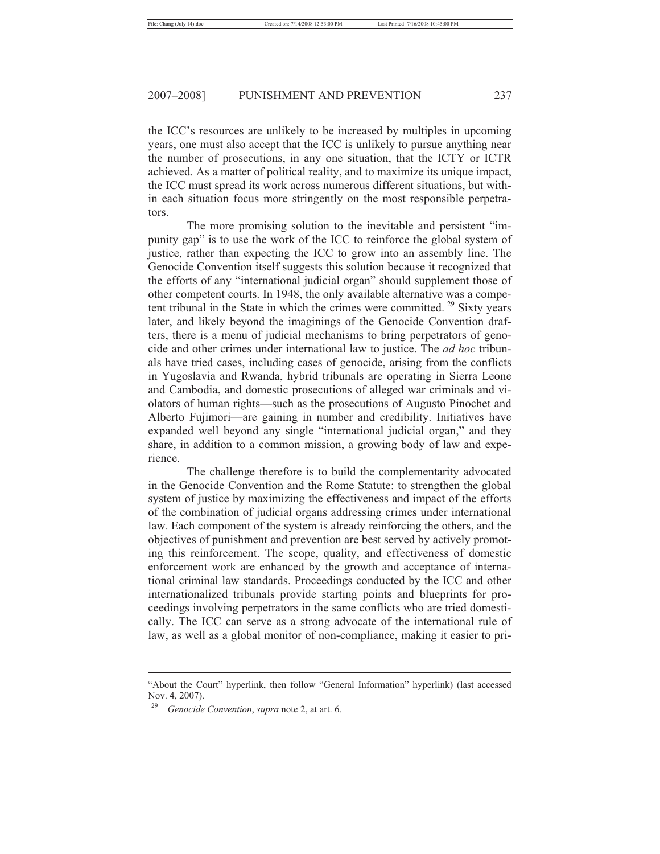the ICC's resources are unlikely to be increased by multiples in upcoming years, one must also accept that the ICC is unlikely to pursue anything near the number of prosecutions, in any one situation, that the ICTY or ICTR achieved. As a matter of political reality, and to maximize its unique impact, the ICC must spread its work across numerous different situations, but within each situation focus more stringently on the most responsible perpetrators.

The more promising solution to the inevitable and persistent "impunity gap" is to use the work of the ICC to reinforce the global system of justice, rather than expecting the ICC to grow into an assembly line. The Genocide Convention itself suggests this solution because it recognized that the efforts of any "international judicial organ" should supplement those of other competent courts. In 1948, the only available alternative was a competent tribunal in the State in which the crimes were committed.  $29$  Sixty years later, and likely beyond the imaginings of the Genocide Convention drafters, there is a menu of judicial mechanisms to bring perpetrators of genocide and other crimes under international law to justice. The *ad hoc* tribunals have tried cases, including cases of genocide, arising from the conflicts in Yugoslavia and Rwanda, hybrid tribunals are operating in Sierra Leone and Cambodia, and domestic prosecutions of alleged war criminals and violators of human rights—such as the prosecutions of Augusto Pinochet and Alberto Fujimori—are gaining in number and credibility. Initiatives have expanded well beyond any single "international judicial organ," and they share, in addition to a common mission, a growing body of law and experience.

The challenge therefore is to build the complementarity advocated in the Genocide Convention and the Rome Statute: to strengthen the global system of justice by maximizing the effectiveness and impact of the efforts of the combination of judicial organs addressing crimes under international law. Each component of the system is already reinforcing the others, and the objectives of punishment and prevention are best served by actively promoting this reinforcement. The scope, quality, and effectiveness of domestic enforcement work are enhanced by the growth and acceptance of international criminal law standards. Proceedings conducted by the ICC and other internationalized tribunals provide starting points and blueprints for proceedings involving perpetrators in the same conflicts who are tried domestically. The ICC can serve as a strong advocate of the international rule of law, as well as a global monitor of non-compliance, making it easier to pri-

<sup>&</sup>quot;About the Court" hyperlink, then follow "General Information" hyperlink) (last accessed Nov. 4, 2007).

<sup>29</sup> *Genocide Convention*, *supra* note 2, at art. 6.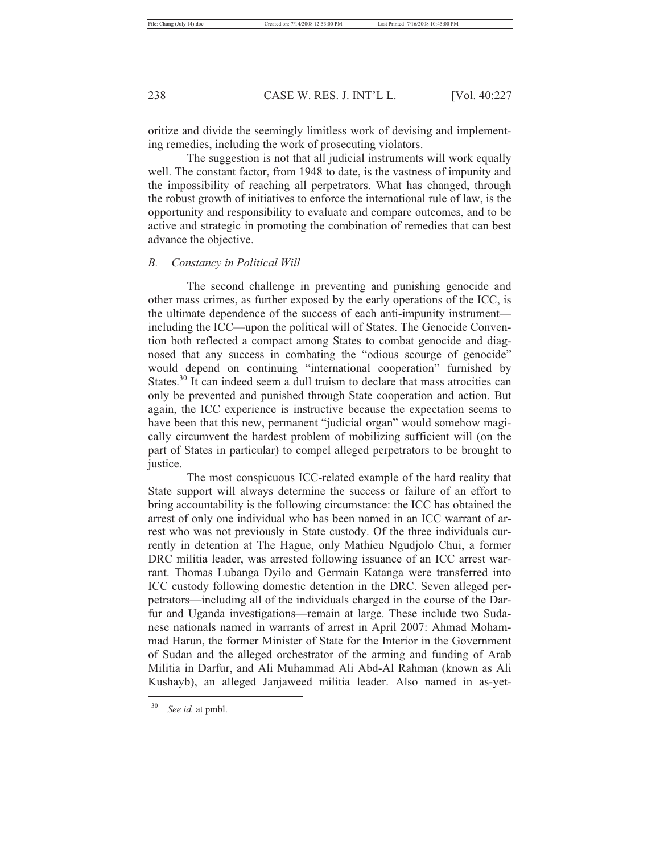oritize and divide the seemingly limitless work of devising and implementing remedies, including the work of prosecuting violators.

The suggestion is not that all judicial instruments will work equally well. The constant factor, from 1948 to date, is the vastness of impunity and the impossibility of reaching all perpetrators. What has changed, through the robust growth of initiatives to enforce the international rule of law, is the opportunity and responsibility to evaluate and compare outcomes, and to be active and strategic in promoting the combination of remedies that can best advance the objective.

#### *B. Constancy in Political Will*

The second challenge in preventing and punishing genocide and other mass crimes, as further exposed by the early operations of the ICC, is the ultimate dependence of the success of each anti-impunity instrument including the ICC—upon the political will of States. The Genocide Convention both reflected a compact among States to combat genocide and diagnosed that any success in combating the "odious scourge of genocide" would depend on continuing "international cooperation" furnished by States.<sup>30</sup> It can indeed seem a dull truism to declare that mass atrocities can only be prevented and punished through State cooperation and action. But again, the ICC experience is instructive because the expectation seems to have been that this new, permanent "judicial organ" would somehow magically circumvent the hardest problem of mobilizing sufficient will (on the part of States in particular) to compel alleged perpetrators to be brought to justice.

The most conspicuous ICC-related example of the hard reality that State support will always determine the success or failure of an effort to bring accountability is the following circumstance: the ICC has obtained the arrest of only one individual who has been named in an ICC warrant of arrest who was not previously in State custody. Of the three individuals currently in detention at The Hague, only Mathieu Ngudjolo Chui, a former DRC militia leader, was arrested following issuance of an ICC arrest warrant. Thomas Lubanga Dyilo and Germain Katanga were transferred into ICC custody following domestic detention in the DRC. Seven alleged perpetrators—including all of the individuals charged in the course of the Darfur and Uganda investigations—remain at large. These include two Sudanese nationals named in warrants of arrest in April 2007: Ahmad Mohammad Harun, the former Minister of State for the Interior in the Government of Sudan and the alleged orchestrator of the arming and funding of Arab Militia in Darfur, and Ali Muhammad Ali Abd-Al Rahman (known as Ali Kushayb), an alleged Janjaweed militia leader. Also named in as-yet-

<sup>30</sup> *See id.* at pmbl.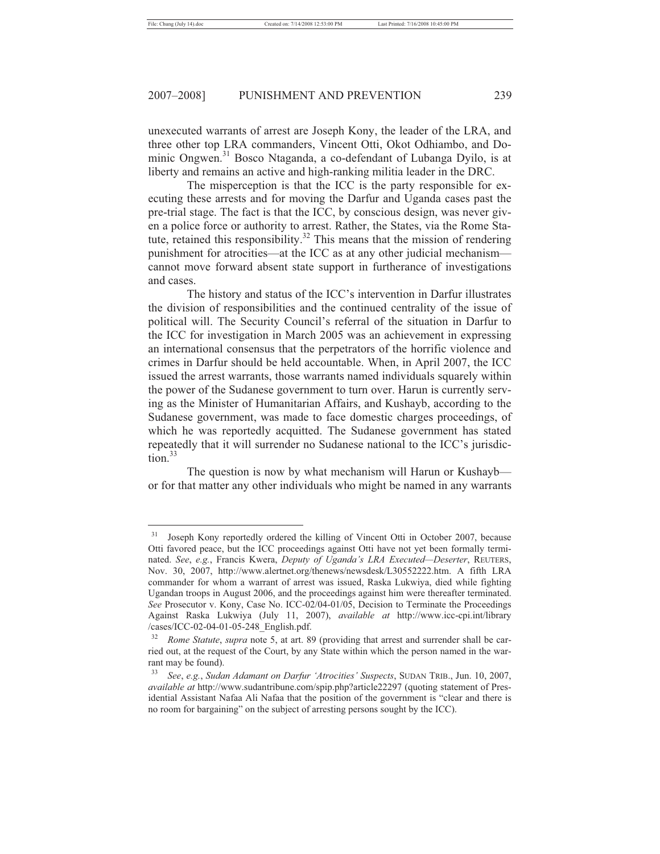unexecuted warrants of arrest are Joseph Kony, the leader of the LRA, and three other top LRA commanders, Vincent Otti, Okot Odhiambo, and Dominic Ongwen.<sup>31</sup> Bosco Ntaganda, a co-defendant of Lubanga Dyilo, is at liberty and remains an active and high-ranking militia leader in the DRC.

The misperception is that the ICC is the party responsible for executing these arrests and for moving the Darfur and Uganda cases past the pre-trial stage. The fact is that the ICC, by conscious design, was never given a police force or authority to arrest. Rather, the States, via the Rome Statute, retained this responsibility.<sup>32</sup> This means that the mission of rendering punishment for atrocities—at the ICC as at any other judicial mechanism cannot move forward absent state support in furtherance of investigations and cases.

The history and status of the ICC's intervention in Darfur illustrates the division of responsibilities and the continued centrality of the issue of political will. The Security Council's referral of the situation in Darfur to the ICC for investigation in March 2005 was an achievement in expressing an international consensus that the perpetrators of the horrific violence and crimes in Darfur should be held accountable. When, in April 2007, the ICC issued the arrest warrants, those warrants named individuals squarely within the power of the Sudanese government to turn over. Harun is currently serving as the Minister of Humanitarian Affairs, and Kushayb, according to the Sudanese government, was made to face domestic charges proceedings, of which he was reportedly acquitted. The Sudanese government has stated repeatedly that it will surrender no Sudanese national to the ICC's jurisdiction.33

The question is now by what mechanism will Harun or Kushayb or for that matter any other individuals who might be named in any warrants

<sup>&</sup>lt;sup>31</sup> Joseph Kony reportedly ordered the killing of Vincent Otti in October 2007, because Otti favored peace, but the ICC proceedings against Otti have not yet been formally terminated. *See*, *e.g.*, Francis Kwera, *Deputy of Uganda's LRA Executed—Deserter*, REUTERS, Nov. 30, 2007, http://www.alertnet.org/thenews/newsdesk/L30552222.htm. A fifth LRA commander for whom a warrant of arrest was issued, Raska Lukwiya, died while fighting Ugandan troops in August 2006, and the proceedings against him were thereafter terminated. *See* Prosecutor v. Kony, Case No. ICC-02/04-01/05, Decision to Terminate the Proceedings Against Raska Lukwiya (July 11, 2007), *available at* http://www.icc-cpi.int/library /cases/ICC-02-04-01-05-248\_English.pdf.

<sup>32</sup> *Rome Statute*, *supra* note 5, at art. 89 (providing that arrest and surrender shall be carried out, at the request of the Court, by any State within which the person named in the warrant may be found).

<sup>33</sup> *See*, *e.g.*, *Sudan Adamant on Darfur 'Atrocities' Suspects*, SUDAN TRIB., Jun. 10, 2007, *available at* http://www.sudantribune.com/spip.php?article22297 (quoting statement of Presidential Assistant Nafaa Ali Nafaa that the position of the government is "clear and there is no room for bargaining" on the subject of arresting persons sought by the ICC).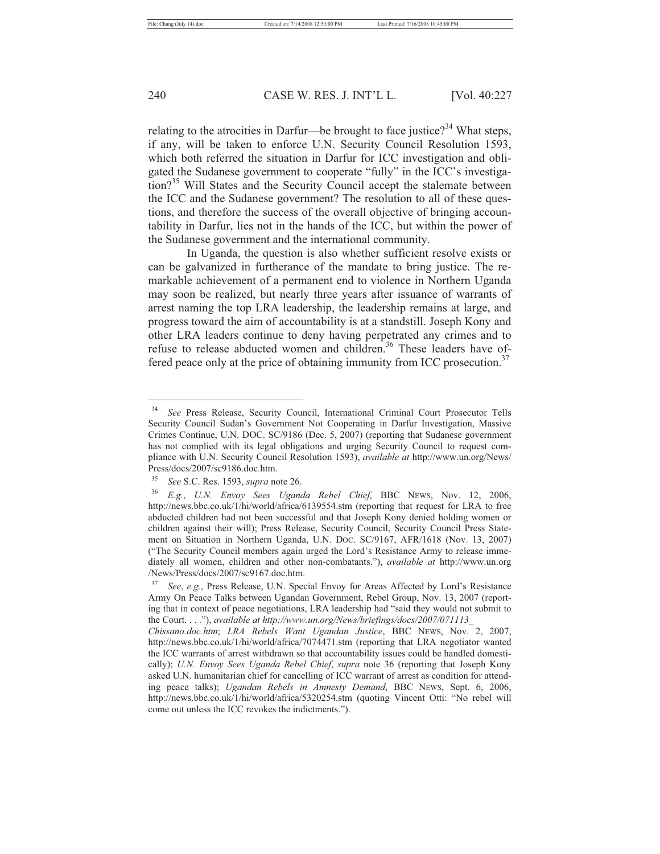relating to the atrocities in Darfur—be brought to face justice?<sup>34</sup> What steps, if any, will be taken to enforce U.N. Security Council Resolution 1593, which both referred the situation in Darfur for ICC investigation and obligated the Sudanese government to cooperate "fully" in the ICC's investigation?<sup>35</sup> Will States and the Security Council accept the stalemate between the ICC and the Sudanese government? The resolution to all of these questions, and therefore the success of the overall objective of bringing accountability in Darfur, lies not in the hands of the ICC, but within the power of the Sudanese government and the international community.

In Uganda, the question is also whether sufficient resolve exists or can be galvanized in furtherance of the mandate to bring justice. The remarkable achievement of a permanent end to violence in Northern Uganda may soon be realized, but nearly three years after issuance of warrants of arrest naming the top LRA leadership, the leadership remains at large, and progress toward the aim of accountability is at a standstill. Joseph Kony and other LRA leaders continue to deny having perpetrated any crimes and to refuse to release abducted women and children.<sup>36</sup> These leaders have offered peace only at the price of obtaining immunity from ICC prosecution.<sup>37</sup>

<sup>34</sup> *See* Press Release, Security Council, International Criminal Court Prosecutor Tells Security Council Sudan's Government Not Cooperating in Darfur Investigation, Massive Crimes Continue, U.N. DOC. SC/9186 (Dec. 5, 2007) (reporting that Sudanese government has not complied with its legal obligations and urging Security Council to request compliance with U.N. Security Council Resolution 1593), *available at* http://www.un.org/News/ Press/docs/2007/sc9186.doc.htm.

<sup>35</sup> *See* S.C. Res. 1593, *supra* note 26. 36 *E.g.*, *U.N. Envoy Sees Uganda Rebel Chief*, BBC NEWS, Nov. 12, 2006, http://news.bbc.co.uk/1/hi/world/africa/6139554.stm (reporting that request for LRA to free abducted children had not been successful and that Joseph Kony denied holding women or children against their will); Press Release, Security Council, Security Council Press Statement on Situation in Northern Uganda, U.N. DOC. SC/9167, AFR/1618 (Nov. 13, 2007) ("The Security Council members again urged the Lord's Resistance Army to release immediately all women, children and other non-combatants."), *available at* http://www.un.org /News/Press/docs/2007/sc9167.doc.htm.

<sup>37</sup> *See*, *e.g.*, Press Release, U.N. Special Envoy for Areas Affected by Lord's Resistance Army On Peace Talks between Ugandan Government, Rebel Group, Nov. 13, 2007 (reporting that in context of peace negotiations, LRA leadership had "said they would not submit to the Court. . . ."), *available at http://www.un.org/News/briefings/docs/2007/071113\_* 

*Chissano.doc.htm*; *LRA Rebels Want Ugandan Justice*, BBC NEWS, Nov. 2, 2007, http://news.bbc.co.uk/1/hi/world/africa/7074471.stm (reporting that LRA negotiator wanted the ICC warrants of arrest withdrawn so that accountability issues could be handled domestically); *U.N. Envoy Sees Uganda Rebel Chief*, *supra* note 36 (reporting that Joseph Kony asked U.N. humanitarian chief for cancelling of ICC warrant of arrest as condition for attending peace talks); *Ugandan Rebels in Amnesty Demand*, BBC NEWS, Sept. 6, 2006, http://news.bbc.co.uk/1/hi/world/africa/5320254.stm (quoting Vincent Otti: "No rebel will come out unless the ICC revokes the indictments.").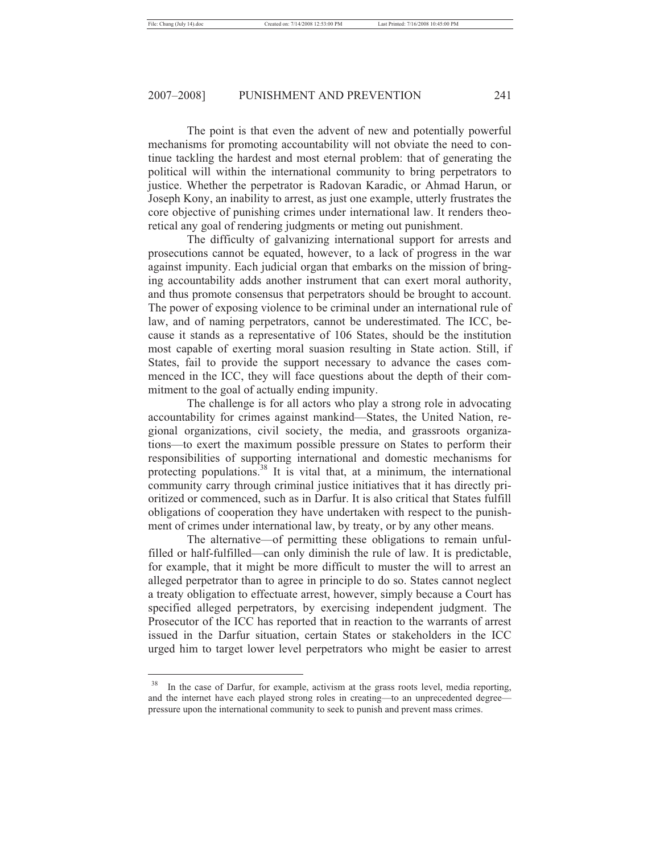The point is that even the advent of new and potentially powerful mechanisms for promoting accountability will not obviate the need to continue tackling the hardest and most eternal problem: that of generating the political will within the international community to bring perpetrators to justice. Whether the perpetrator is Radovan Karadic, or Ahmad Harun, or Joseph Kony, an inability to arrest, as just one example, utterly frustrates the core objective of punishing crimes under international law. It renders theoretical any goal of rendering judgments or meting out punishment.

The difficulty of galvanizing international support for arrests and prosecutions cannot be equated, however, to a lack of progress in the war against impunity. Each judicial organ that embarks on the mission of bringing accountability adds another instrument that can exert moral authority, and thus promote consensus that perpetrators should be brought to account. The power of exposing violence to be criminal under an international rule of law, and of naming perpetrators, cannot be underestimated. The ICC, because it stands as a representative of 106 States, should be the institution most capable of exerting moral suasion resulting in State action. Still, if States, fail to provide the support necessary to advance the cases commenced in the ICC, they will face questions about the depth of their commitment to the goal of actually ending impunity.

The challenge is for all actors who play a strong role in advocating accountability for crimes against mankind—States, the United Nation, regional organizations, civil society, the media, and grassroots organizations—to exert the maximum possible pressure on States to perform their responsibilities of supporting international and domestic mechanisms for protecting populations.<sup>38</sup> It is vital that, at a minimum, the international community carry through criminal justice initiatives that it has directly prioritized or commenced, such as in Darfur. It is also critical that States fulfill obligations of cooperation they have undertaken with respect to the punishment of crimes under international law, by treaty, or by any other means.

The alternative—of permitting these obligations to remain unfulfilled or half-fulfilled—can only diminish the rule of law. It is predictable, for example, that it might be more difficult to muster the will to arrest an alleged perpetrator than to agree in principle to do so. States cannot neglect a treaty obligation to effectuate arrest, however, simply because a Court has specified alleged perpetrators, by exercising independent judgment. The Prosecutor of the ICC has reported that in reaction to the warrants of arrest issued in the Darfur situation, certain States or stakeholders in the ICC urged him to target lower level perpetrators who might be easier to arrest

<sup>&</sup>lt;sup>38</sup> In the case of Darfur, for example, activism at the grass roots level, media reporting, and the internet have each played strong roles in creating—to an unprecedented degree pressure upon the international community to seek to punish and prevent mass crimes.